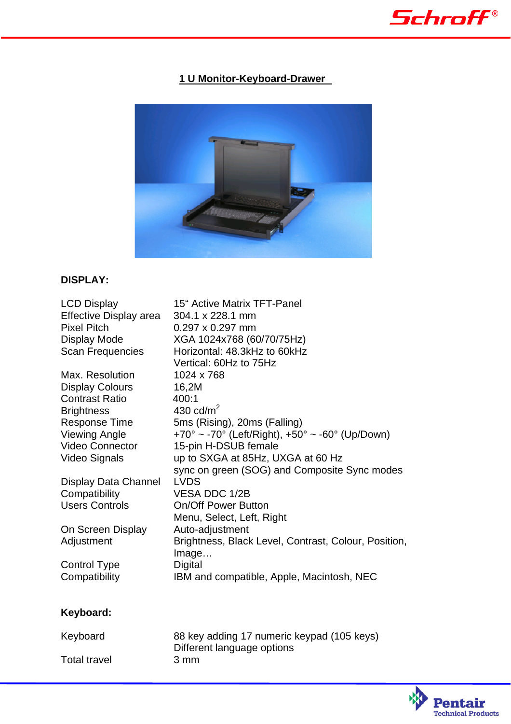

## **1 U Monitor-Keyboard-Drawer**



### **DISPLAY:**

| <b>LCD Display</b>     | <b>15<sup>"</sup></b> Active Matrix TFT-Panel        |
|------------------------|------------------------------------------------------|
| Effective Display area | 304.1 x 228.1 mm                                     |
| <b>Pixel Pitch</b>     | $0.297 \times 0.297$ mm                              |
| Display Mode           | XGA 1024x768 (60/70/75Hz)                            |
| Scan Frequencies       | Horizontal: 48.3kHz to 60kHz                         |
|                        | Vertical: 60Hz to 75Hz                               |
| Max. Resolution        | 1024 x 768                                           |
| <b>Display Colours</b> | 16,2M                                                |
| <b>Contrast Ratio</b>  | 400:1                                                |
| <b>Brightness</b>      | 430 cd/ $m2$                                         |
| Response Time          | 5ms (Rising), 20ms (Falling)                         |
| <b>Viewing Angle</b>   | +70° ~ -70° (Left/Right), +50° ~ -60° (Up/Down)      |
| <b>Video Connector</b> | 15-pin H-DSUB female                                 |
| <b>Video Signals</b>   | up to SXGA at 85Hz, UXGA at 60 Hz                    |
|                        | sync on green (SOG) and Composite Sync modes         |
| Display Data Channel   | <b>LVDS</b>                                          |
| Compatibility          | VESA DDC 1/2B                                        |
| <b>Users Controls</b>  | <b>On/Off Power Button</b>                           |
|                        | Menu, Select, Left, Right                            |
| On Screen Display      | Auto-adjustment                                      |
| Adjustment             | Brightness, Black Level, Contrast, Colour, Position, |
|                        | Image                                                |
| Control Type           | Digital                                              |
| Compatibility          | IBM and compatible, Apple, Macintosh, NEC            |
|                        |                                                      |

# **Keyboard:**

Total travel

Keyboard 88 key adding 17 numeric keypad (105 keys) Different language options